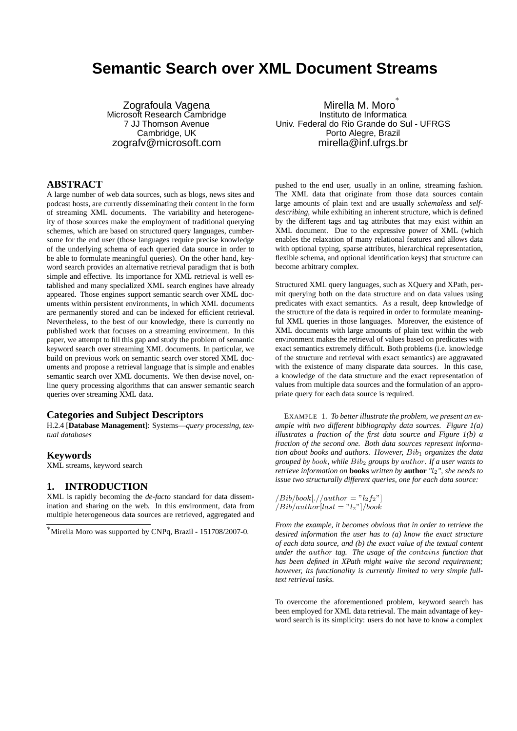# **Semantic Search over XML Document Streams**

Zografoula Vagena Microsoft Research Cambridge 7 JJ Thomson Avenue Cambridge, UK zografv@microsoft.com

## **ABSTRACT**

A large number of web data sources, such as blogs, news sites and podcast hosts, are currently disseminating their content in the form of streaming XML documents. The variability and heterogeneity of those sources make the employment of traditional querying schemes, which are based on structured query languages, cumbersome for the end user (those languages require precise knowledge of the underlying schema of each queried data source in order to be able to formulate meaningful queries). On the other hand, keyword search provides an alternative retrieval paradigm that is both simple and effective. Its importance for XML retrieval is well established and many specialized XML search engines have already appeared. Those engines support semantic search over XML documents within persistent environments, in which XML documents are permanently stored and can be indexed for efficient retrieval. Nevertheless, to the best of our knowledge, there is currently no published work that focuses on a streaming environment. In this paper, we attempt to fill this gap and study the problem of semantic keyword search over streaming XML documents. In particular, we build on previous work on semantic search over stored XML documents and propose a retrieval language that is simple and enables semantic search over XML documents. We then devise novel, online query processing algorithms that can answer semantic search queries over streaming XML data.

#### **Categories and Subject Descriptors**

H.2.4 [**Database Management**]: Systems—*query processing, textual databases*

#### **Keywords**

XML streams, keyword search

#### **1. INTRODUCTION**

XML is rapidly becoming the *de-facto* standard for data dissemination and sharing on the web. In this environment, data from multiple heterogeneous data sources are retrieved, aggregated and

Mirella M. Moro ∗ Instituto de Informatica Univ. Federal do Rio Grande do Sul - UFRGS Porto Alegre, Brazil mirella@inf.ufrgs.br

pushed to the end user, usually in an online, streaming fashion. The XML data that originate from those data sources contain large amounts of plain text and are usually *schemaless* and *selfdescribing*, while exhibiting an inherent structure, which is defined by the different tags and tag attributes that may exist within an XML document. Due to the expressive power of XML (which enables the relaxation of many relational features and allows data with optional typing, sparse attributes, hierarchical representation, flexible schema, and optional identification keys) that structure can become arbitrary complex.

Structured XML query languages, such as XQuery and XPath, permit querying both on the data structure and on data values using predicates with exact semantics. As a result, deep knowledge of the structure of the data is required in order to formulate meaningful XML queries in those languages. Moreover, the existence of XML documents with large amounts of plain text within the web environment makes the retrieval of values based on predicates with exact semantics extremely difficult. Both problems (i.e. knowledge of the structure and retrieval with exact semantics) are aggravated with the existence of many disparate data sources. In this case, a knowledge of the data structure and the exact representation of values from multiple data sources and the formulation of an appropriate query for each data source is required.

EXAMPLE 1. *To better illustrate the problem, we present an example with two different bibliography data sources. Figure 1(a) illustrates a fraction of the first data source and Figure 1(b) a fraction of the second one. Both data sources represent information about books and authors. However,* Bib<sup>1</sup> *organizes the data grouped by* book*, while* Bib<sup>2</sup> *groups by* author*. If a user wants to retrieve information on* **books** *written by* **author** *"*l2*", she needs to issue two structurally different queries, one for each data source:*

```
\langle Bib/book[.//author = "l_2f_2"]/Bib/author[last = "l<sub>2</sub>"]/book
```
*From the example, it becomes obvious that in order to retrieve the desired information the user has to (a) know the exact structure of each data source, and (b) the exact value of the textual content under the* author *tag. The usage of the* contains *function that has been defined in XPath might waive the second requirement; however, its functionality is currently limited to very simple fulltext retrieval tasks.*

To overcome the aforementioned problem, keyword search has been employed for XML data retrieval. The main advantage of keyword search is its simplicity: users do not have to know a complex

<sup>∗</sup>Mirella Moro was supported by CNPq, Brazil - 151708/2007-0.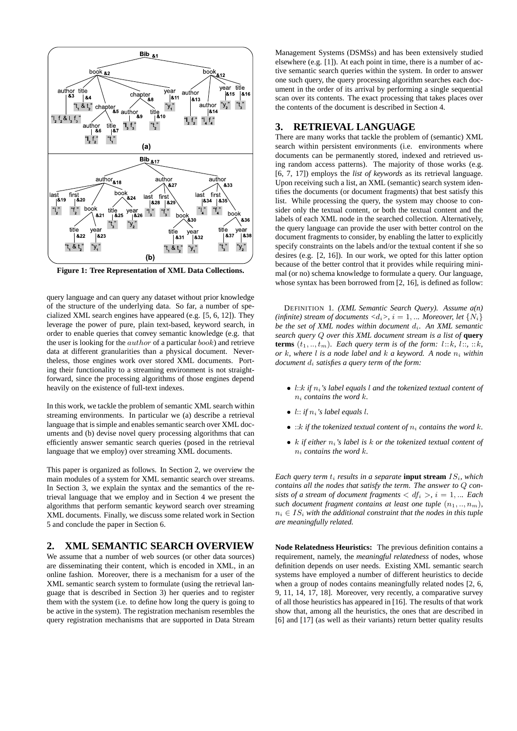

**Figure 1: Tree Representation of XML Data Collections.**

query language and can query any dataset without prior knowledge of the structure of the underlying data. So far, a number of specialized XML search engines have appeared (e.g. [5, 6, 12]). They leverage the power of pure, plain text-based, keyword search, in order to enable queries that convey semantic knowledge (e.g. that the user is looking for the author of a particular book) and retrieve data at different granularities than a physical document. Nevertheless, those engines work over stored XML documents. Porting their functionality to a streaming environment is not straightforward, since the processing algorithms of those engines depend heavily on the existence of full-text indexes.

In this work, we tackle the problem of semantic XML search within streaming environments. In particular we (a) describe a retrieval language that is simple and enables semantic search over XML documents and (b) devise novel query processing algorithms that can efficiently answer semantic search queries (posed in the retrieval language that we employ) over streaming XML documents.

This paper is organized as follows. In Section 2, we overview the main modules of a system for XML semantic search over streams. In Section 3, we explain the syntax and the semantics of the retrieval language that we employ and in Section 4 we present the algorithms that perform semantic keyword search over streaming XML documents. Finally, we discuss some related work in Section 5 and conclude the paper in Section 6.

## **2. XML SEMANTIC SEARCH OVERVIEW**

We assume that a number of web sources (or other data sources) are disseminating their content, which is encoded in XML, in an online fashion. Moreover, there is a mechanism for a user of the XML semantic search system to formulate (using the retrieval language that is described in Section 3) her queries and to register them with the system (i.e. to define how long the query is going to be active in the system). The registration mechanism resembles the query registration mechanisms that are supported in Data Stream

Management Systems (DSMSs) and has been extensively studied elsewhere (e.g. [1]). At each point in time, there is a number of active semantic search queries within the system. In order to answer one such query, the query processing algorithm searches each document in the order of its arrival by performing a single sequential scan over its contents. The exact processing that takes places over the contents of the document is described in Section 4.

#### **3. RETRIEVAL LANGUAGE**

There are many works that tackle the problem of (semantic) XML search within persistent environments (i.e. environments where documents can be permanently stored, indexed and retrieved using random access patterns). The majority of those works (e.g. [6, 7, 17]) employs the *list of keywords* as its retrieval language. Upon receiving such a list, an XML (semantic) search system identifies the documents (or document fragments) that best satisfy this list. While processing the query, the system may choose to consider only the textual content, or both the textual content and the labels of each XML node in the searched collection. Alternatively, the query language can provide the user with better control on the document fragments to consider, by enabling the latter to explicitly specify constraints on the labels and/or the textual content if she so desires (e.g. [2, 16]). In our work, we opted for this latter option because of the better control that it provides while requiring minimal (or no) schema knowledge to formulate a query. Our language, whose syntax has been borrowed from [2, 16], is defined as follow:

DEFINITION 1. *(XML Semantic Search Query). Assume a(n) (infinite) stream of documents*  $\langle d_i \rangle$ ,  $i = 1, ...$  *Moreover, let*  $\{N_i\}$ *be the set of XML nodes within document*  $d_i$ . An XML semantic *search query* Q *over this XML document stream is a list of* **query terms**  $(t_1, ..., t_m)$ *. Each query term is of the form:*  $l::k, l::;::k,$ *or* k*, where* l *is a node label and* k *a keyword. A node* n<sup>i</sup> *within document* d<sup>i</sup> *satisfies a query term of the form:*

- l::k *if*  $n_i$ 's label equals l and the tokenized textual content of n<sup>i</sup> *contains the word* k*.*
- $\bullet$  *l:: if*  $n_i$ *'s label equals l.*
- $:k$  *if the tokenized textual content of*  $n_i$  *contains the word k.*
- $k$  *if either*  $n_i$ *'s label is*  $k$  *or the tokenized textual content of* n<sup>i</sup> *contains the word* k*.*

*Each query term*  $t_i$  *results in a separate* **input stream**  $IS_i$ *, which contains all the nodes that satisfy the term. The answer to* Q *consists of a stream of document fragments*  $\langle df_i \rangle$ ,  $i = 1, ...$  *Each such document fragment contains at least one tuple*  $(n_1, ..., n_m)$ ,  $n_i \in IS_i$  with the additional constraint that the nodes in this tuple *are meaningfully related.*

**Node Relatedness Heuristics:** The previous definition contains a requirement, namely, the *meaningful relatedness* of nodes, whose definition depends on user needs. Existing XML semantic search systems have employed a number of different heuristics to decide when a group of nodes contains meaningfully related nodes [2, 6, 9, 11, 14, 17, 18]. Moreover, very recently, a comparative survey of all those heuristics has appeared in [16]. The results of that work show that, among all the heuristics, the ones that are described in [6] and [17] (as well as their variants) return better quality results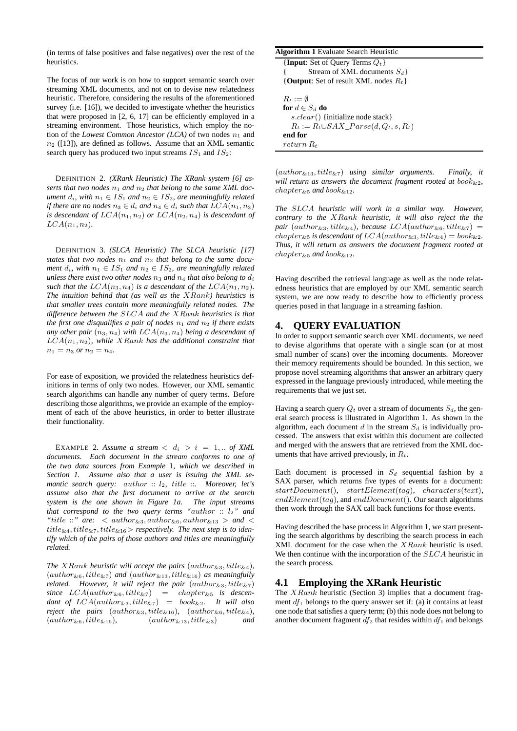(in terms of false positives and false negatives) over the rest of the heuristics.

The focus of our work is on how to support semantic search over streaming XML documents, and not on to devise new relatedness heuristic. Therefore, considering the results of the aforementioned survey (i.e. [16]), we decided to investigate whether the heuristics that were proposed in [2, 6, 17] can be efficiently employed in a streaming environment. Those heuristics, which employ the notion of the *Lowest Common Ancestor (LCA)* of two nodes  $n_1$  and  $n_2$  ([13]), are defined as follows. Assume that an XML semantic search query has produced two input streams  $IS_1$  and  $IS_2$ :

DEFINITION 2. *(XRank Heuristic) The XRank system [6] as*serts that two nodes  $n_1$  and  $n_2$  that belong to the same XML doc*ument*  $d_i$ , with  $n_1 \in IS_1$  *and*  $n_2 \in IS_2$ , *are meaningfully related if there are no nodes*  $n_3 \in d_i$  *and*  $n_4 \in d_i$  *such that*  $LCA(n_1, n_3)$ *is descendant of*  $LCA(n_1, n_2)$  *or*  $LCA(n_2, n_4)$  *is descendant of*  $LCA(n_1, n_2)$ .

DEFINITION 3. *(SLCA Heuristic) The SLCA heuristic [17]* states that two nodes  $n_1$  and  $n_2$  that belong to the same docu*ment*  $d_i$ *, with*  $n_1 \in IS_1$  *and*  $n_2 \in IS_2$ *, are meaningfully related unless there exist two other nodes*  $n_3$  *and*  $n_4$  *that also belong to*  $d_i$ *such that the*  $LCA(n_3, n_4)$  *is a descendant of the*  $LCA(n_1, n_2)$ *. The intuition behind that (as well as the* XRank*) heuristics is that smaller trees contain more meaningfully related nodes. The difference between the* SLCA *and the* XRank *heuristics is that the first one disqualifies a pair of nodes*  $n_1$  *and*  $n_2$  *if there exists* any other pair  $(n_3, n_4)$  with  $LCA(n_3, n_4)$  being a descendant of LCA(n1, n2)*, while* XRank *has the additional constraint that*  $n_1 = n_3$  *or*  $n_2 = n_4$ .

For ease of exposition, we provided the relatedness heuristics definitions in terms of only two nodes. However, our XML semantic search algorithms can handle any number of query terms. Before describing those algorithms, we provide an example of the employment of each of the above heuristics, in order to better illustrate their functionality.

EXAMPLE 2. Assume a stream  $\langle d_i \rangle$  i = 1, .. of XML *documents. Each document in the stream conforms to one of the two data sources from Example* 1*, which we described in Section 1. Assume also that a user is issuing the XML semantic search query: author :: l<sub>2</sub>, title ::. Moreover, let's assume also that the first document to arrive at the search system is the one shown in Figure 1a. The input streams that correspond to the two query terms "*author :: l2*" and*  $"title ::" are: author\_{&3}, author\_{&6}, author\_{&13} > and$ title&4, title&7, title&16> *respectively. The next step is to identify which of the pairs of those authors and titles are meaningfully related.*

*The XRank heuristic will accept the pairs*  $(author_{\&3}, title_{\&4}),$  $(author_{\&6}, title_{\&7})$  *and*  $(author_{\&13}, title_{\&16})$  *as meaningfully related.* However, it will reject the pair  $(author_{\&3}, title_{\&7})$  $since \ LCA(author_{\&6}, title_{\&7}) = chapter_{\&5} is descen$ *dant of*  $LCA(author_{\&3}, title_{\&7}) = book_{\&2}.$  It will also *reject the pairs*  $(author_{&3}, title_{&16})$ *,*  $(author_{&6}, title_{&4})$ *,*  $(author_{\&6}, title_{\&16}),$   $(author_{\&13}, title_{\&3})$  *and*  **Algorithm 1** Evaluate Search Heuristic  ${\bf \{Input: Set of Query Terms } Q_t\}$ Stream of XML documents  $S_d$ {**Output**: Set of result XML nodes  $R_t$ }  $R_t := \emptyset$ **for**  $d \in S_d$  **do** s.clear() {initialize node stack}  $R_t := R_t \cup SAX\_Parse(d, Q_t, s, R_t)$ **end for** return R<sup>t</sup>

(author&13, title&7) *using similar arguments. Finally, it will return as answers the document fragment rooted at book* $_{22}$ ,  $chapters_{\&5}$  *and* book $_{\&12}$ *.* 

*The* SLCA *heuristic will work in a similar way. However, contrary to the* XRank *heuristic, it will also reject the the pair* (author<sub>&3</sub>, title<sub>&4</sub>), *because*  $LCA(author_{&6}, title_{&7}) =$ chapter<sub>&5</sub> is descendant of  $LCA(author_{\&3}, title_{\&4}) = book_{\&2}.$ *Thus, it will return as answers the document fragment rooted at*  $chapters_5$  *and* book<sub>&12</sub>.

Having described the retrieval language as well as the node relatedness heuristics that are employed by our XML semantic search system, we are now ready to describe how to efficiently process queries posed in that language in a streaming fashion.

### **4. QUERY EVALUATION**

In order to support semantic search over XML documents, we need to devise algorithms that operate with a single scan (or at most small number of scans) over the incoming documents. Moreover their memory requirements should be bounded. In this section, we propose novel streaming algorithms that answer an arbitrary query expressed in the language previously introduced, while meeting the requirements that we just set.

Having a search query  $Q_t$  over a stream of documents  $S_d$ , the general search process is illustrated in Algorithm 1. As shown in the algorithm, each document  $d$  in the stream  $S_d$  is individually processed. The answers that exist within this document are collected and merged with the answers that are retrieved from the XML documents that have arrived previously, in  $R_t$ .

Each document is processed in  $S_d$  sequential fashion by a SAX parser, which returns five types of events for a document:  $startDocument()$ ,  $startElement(taq)$ , characters(text),  $endElement(taq)$ , and  $endDocument()$ . Our search algorithms then work through the SAX call back functions for those events.

Having described the base process in Algorithm 1, we start presenting the search algorithms by describing the search process in each XML document for the case when the XRank heuristic is used. We then continue with the incorporation of the SLCA heuristic in the search process.

# **4.1 Employing the XRank Heuristic**

The  $XRank$  heuristic (Section 3) implies that a document fragment  $df_1$  belongs to the query answer set if: (a) it contains at least one node that satisfies a query term; (b) this node does not belong to another document fragment  $df_2$  that resides within  $df_1$  and belongs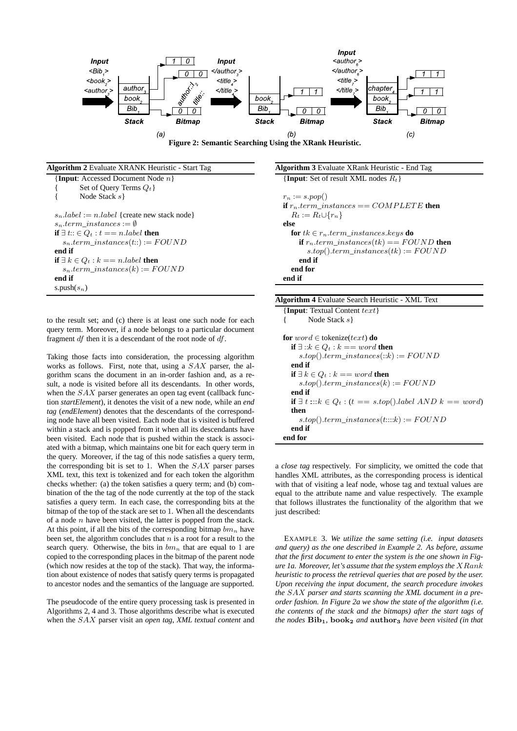

**Algorithm 2** Evaluate XRANK Heuristic - Start Tag {**Input**: Accessed Document Node n} Set of Ouery Terms  $Q_t$  } Node Stack s}  $s_n. label := n. label$  {create new stack node}  $s_n.term\_instances := \emptyset$ **if** ∃  $t$ :: ∈  $Q_t$  :  $t$  == n.label **then**  $s_n.term\_instances(t::) := FOUND$ **end if if** ∃  $k$  ∈  $Q_t$  :  $k$  == n.label **then**  $s_n.term\_instances(k) := FOUND$ **end if** s.push $(s_n)$ 

to the result set; and (c) there is at least one such node for each query term. Moreover, if a node belongs to a particular document fragment df then it is a descendant of the root node of df.

Taking those facts into consideration, the processing algorithm works as follows. First, note that, using a SAX parser, the algorithm scans the document in an in-order fashion and, as a result, a node is visited before all its descendants. In other words, when the SAX parser generates an open tag event (callback function *startElement*), it denotes the visit of a new node, while an *end tag* (*endElement*) denotes that the descendants of the corresponding node have all been visited. Each node that is visited is buffered within a stack and is popped from it when all its descendants have been visited. Each node that is pushed within the stack is associated with a bitmap, which maintains one bit for each query term in the query. Moreover, if the tag of this node satisfies a query term, the corresponding bit is set to 1. When the  $SAX$  parser parses XML text, this text is tokenized and for each token the algorithm checks whether: (a) the token satisfies a query term; and (b) combination of the the tag of the node currently at the top of the stack satisfies a query term. In each case, the corresponding bits at the bitmap of the top of the stack are set to 1. When all the descendants of a node  $n$  have been visited, the latter is popped from the stack. At this point, if all the bits of the corresponding bitmap  $bm_n$  have been set, the algorithm concludes that  $n$  is a root for a result to the search query. Otherwise, the bits in  $bm_n$  that are equal to 1 are copied to the corresponding places in the bitmap of the parent node (which now resides at the top of the stack). That way, the information about existence of nodes that satisfy query terms is propagated to ancestor nodes and the semantics of the language are supported.

The pseudocode of the entire query processing task is presented in Algorithms 2, 4 and 3. Those algorithms describe what is executed when the SAX parser visit an *open tag*, *XML textual content* and **Algorithm 3** Evaluate XRank Heuristic - End Tag {**Input**: Set of result XML nodes  $R_t$ }  $r_n := s.pop()$ **if**  $r_n.term\_instances == COMPLETE$  **then**  $R_t := R_t \cup \{r_n\}$ **else for**  $tk \in r_n.$  *term\_instances.keys* **do** 

**if**  $r_n.term\_instances(tk) == FOUND$  **then**  $s.top().term\_instances(tk) := FOUND$ **end if end for end if**

| <b>Algorithm 4</b> Evaluate Search Heuristic - XML Text              |
|----------------------------------------------------------------------|
| {Input: Textual Content $text$                                       |
| Node Stack $s$                                                       |
| <b>for</b> $word \in$ tokenize( <i>text</i> ) <b>do</b>              |
| if $\exists$ :: $k \in Q_t$ : $k == word$ then                       |
| $s.top().term\_instances(::k):=FOUND$                                |
| end if                                                               |
| if $\exists k \in Q_t : k == word$ then                              |
| $s.top() . term\_instances(k) := FOUND$                              |
| end if                                                               |
| if $\exists t$ ::: $k \in Q_t$ : $(t == s.top().labelAND k == word)$ |
| then                                                                 |
| $s.top().term_instances(tk) := FOUND$                                |
| end if                                                               |
| end for                                                              |

a *close tag* respectively. For simplicity, we omitted the code that handles XML attributes, as the corresponding process is identical with that of visiting a leaf node, whose tag and textual values are equal to the attribute name and value respectively. The example that follows illustrates the functionality of the algorithm that we just described:

EXAMPLE 3. *We utilize the same setting (i.e. input datasets and query) as the one described in Example 2. As before, assume that the first document to enter the system is the one shown in Figure 1a. Moreover, let's assume that the system employs the* XRank *heuristic to process the retrieval queries that are posed by the user. Upon receiving the input document, the search procedure invokes the* SAX *parser and starts scanning the XML document in a preorder fashion. In Figure 2a we show the state of the algorithm (i.e. the contents of the stack and the bitmaps) after the start tags of the nodes*  $\text{Bib}_1$ ,  $\text{book}_2$  *and*  $\text{author}_3$  *have been visited (in that*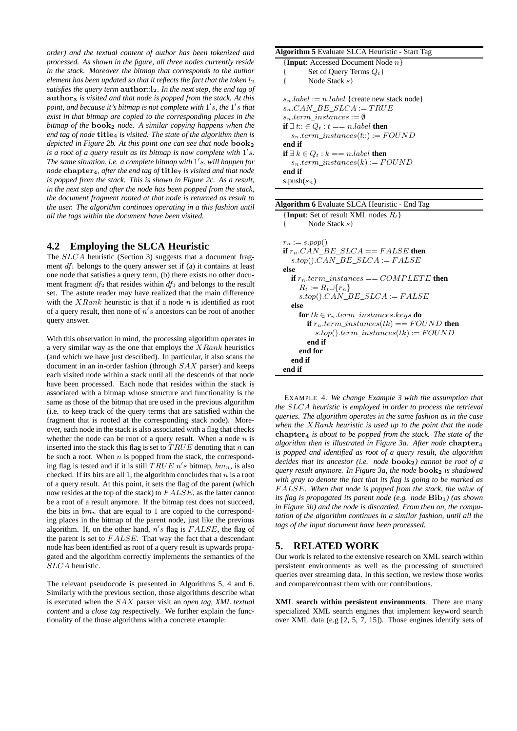*order) and the textual content of author has been tokenized and processed. As shown in the figure, all three nodes currently reside in the stack. Moreover the bitmap that corresponds to the author element has been updated so that it reflects the fact that the token*  $l_2$ *satisfies the query term* author::l2*. In the next step, the end tag of* author<sup>3</sup> *is visited and that node is popped from the stack. At this* point, and because it's bitmap is not complete with 1's, the 1's that *exist in that bitmap are copied to the corresponding places in the bitmap of the* book<sup>2</sup> *node. A similar copying happens when the end tag of node* **title<sub>4</sub>** *is visited. The state of the algorithm then is depicted in Figure 2b. At this point one can see that node* **book**<sub>2</sub> *is a root of a query result as its bitmap is now complete with*  $1's$ . *The same situation, i.e. a complete bitmap with* 1 ′ s*, will happen for node* chapter<sub>4</sub>, after the end tag of title<sub>7</sub> is visited and that node *is popped from the stack. This is shown in Figure 2c. As a result, in the next step and after the node has been popped from the stack, the document fragment rooted at that node is returned as result to the user. The algorithm continues operating in a this fashion until all the tags within the document have been visited.*

#### **4.2 Employing the SLCA Heuristic**

The SLCA heuristic (Section 3) suggests that a document fragment  $df_1$  belongs to the query answer set if (a) it contains at least one node that satisfies a query term, (b) there exists no other document fragment  $df_2$  that resides within  $df_1$  and belongs to the result set. The astute reader may have realized that the main difference with the  $XRank$  heuristic is that if a node n is identified as root of a query result, then none of  $n's$  ancestors can be root of another query answer.

With this observation in mind, the processing algorithm operates in a very similar way as the one that employs the  $XRank$  heuristics (and which we have just described). In particular, it also scans the document in an in-order fashion (through SAX parser) and keeps each visited node within a stack until all the descends of that node have been processed. Each node that resides within the stack is associated with a bitmap whose structure and functionality is the same as those of the bitmap that are used in the previous algorithm (i.e. to keep track of the query terms that are satisfied within the fragment that is rooted at the corresponding stack node). Moreover, each node in the stack is also associated with a flag that checks whether the node can be root of a query result. When a node  $n$  is inserted into the stack this flag is set to  $TRUE$  denoting that n can be such a root. When  $n$  is popped from the stack, the corresponding flag is tested and if it is still  $TRUE n's$  bitmap,  $bm_n$ , is also checked. If its bits are all 1, the algorithm concludes that  $n$  is a root of a query result. At this point, it sets the flag of the parent (which now resides at the top of the stack) to FALSE, as the latter cannot be a root of a result anymore. If the bitmap test does not succeed, the bits in  $bm_n$  that are equal to 1 are copied to the corresponding places in the bitmap of the parent node, just like the previous algorithm. If, on the other hand,  $n's$  flag is  $FALSE$ , the flag of the parent is set to  $FALSE$ . That way the fact that a descendant node has been identified as root of a query result is upwards propagated and the algorithm correctly implements the semantics of the SLCA heuristic.

The relevant pseudocode is presented in Algorithms 5, 4 and 6. Similarly with the previous section, those algorithms describe what is executed when the SAX parser visit an *open tag*, *XML textual content* and a *close tag* respectively. We further explain the functionality of the those algorithms with a concrete example:

#### **Algorithm 5** Evaluate SLCA Heuristic - Start Tag {**Input**: Accessed Document Node n} Set of Query Terms  $Q_t$  } { Node Stack s}  $s_n. label := n. label$  {create new stack node}  $s_n.CAN\_BE\_SLCA := TRUE$  $s_n.term\_instances := \emptyset$ **if** ∃  $t$ :: ∈  $Q_t$  :  $t$  == n.label **then**  $s_n.term\_instances(t::) := FOUND$ **end if if** ∃  $k$  ∈  $Q_t$  :  $k$  == n.label **then**  $s_n.term\_instances(k) := FOUND$ **end if**

s.push $(s_n)$ 

| <b>Algorithm 6</b> Evaluate SLCA Heuristic - End Tag     |
|----------------------------------------------------------|
| {Input: Set of result XML nodes $R_t$ }                  |
| Node Stack $s$<br>ł                                      |
|                                                          |
| $r_n := s.pop()$                                         |
| if $r_n$ .CAN BE SLCA == FALSE then                      |
| $s.top().CAN\_BE\_SLCA := FALSE$                         |
| else                                                     |
| <b>if</b> $r_n$ , term instances == $COMPLETE$ then      |
| $R_t := R_t \cup \{r_n\}$                                |
| $s.top().CAN\_BE\_SLCA := FALSE$                         |
| else                                                     |
| <b>for</b> $tk \in r_n.$ term_instances. keys <b>do</b>  |
| <b>if</b> $r_n.$ term_instances(tk) == FOUND <b>then</b> |
| $s.top().term\_instances(tk) := FOUND$                   |
| end if                                                   |
| end for                                                  |
| end if                                                   |
| end if                                                   |

EXAMPLE 4. *We change Example 3 with the assumption that the* SLCA *heuristic is employed in order to process the retrieval queries. The algorithm operates in the same fashion as in the case when the* XRank *heuristic is used up to the point that the node* chapter<sup>4</sup> *is about to be popped from the stack. The state of the algorithm then is illustrated in Figure 3a. After node* chapter<sub>4</sub> *is popped and identified as root of a query result, the algorithm decides that its ancestor (i.e. node* book2*) cannot be root of a query result anymore. In Figure 3a, the node* **book**<sub>2</sub> *is shadowed with gray to denote the fact that its flag is going to be marked as* FALSE*. When that node is popped from the stack, the value of its flag is propagated its parent node (e.g. node*  $Bib_1$ ) (as shown *in Figure 3b) and the node is discarded. From then on, the computation of the algorithm continues in a similar fashion, until all the tags of the input document have been processed.*

#### **5. RELATED WORK**

Our work is related to the extensive research on XML search within persistent environments as well as the processing of structured queries over streaming data. In this section, we review those works and compare/contrast them with our contributions.

**XML search within persistent environments**. There are many specialized XML search engines that implement keyword search over XML data (e.g [2, 5, 7, 15]). Those engines identify sets of